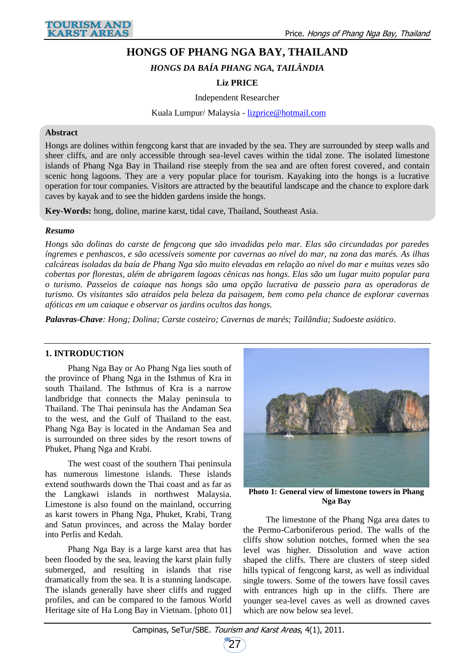# **HONGS OF PHANG NGA BAY, THAILAND**

*HONGS DA BAÍA PHANG NGA, TAILÂNDIA*

# **Liz PRICE**

Independent Researcher

Kuala Lumpur/ Malaysia - [lizprice@hotmail.com](mailto:lizprice@hotmail.com)

### **Abstract**

Hongs are dolines within fengcong karst that are invaded by the sea. They are surrounded by steep walls and sheer cliffs, and are only accessible through sea-level caves within the tidal zone. The isolated limestone islands of Phang Nga Bay in Thailand rise steeply from the sea and are often forest covered, and contain scenic hong lagoons. They are a very popular place for tourism. Kayaking into the hongs is a lucrative operation for tour companies. Visitors are attracted by the beautiful landscape and the chance to explore dark caves by kayak and to see the hidden gardens inside the hongs.

**Key-Words:** hong, doline, marine karst, tidal cave, Thailand, Southeast Asia.

#### *Resumo*

*Hongs são dolinas do carste de fengcong que são invadidas pelo mar. Elas são circundadas por paredes íngremes e penhascos, e são acessíveis somente por cavernas ao nível do mar, na zona das marés. As ilhas calcáreas isoladas da baía de Phang Nga são muito elevadas em relação ao nível do mar e muitas vezes são cobertas por florestas, além de abrigarem lagoas cênicas nas hongs. Elas são um lugar muito popular para o turismo. Passeios de caiaque nas hongs são uma opção lucrativa de passeio para as operadoras de turismo. Os visitantes são atraídos pela beleza da paisagem, bem como pela chance de explorar cavernas afóticas em um caiaque e observar os jardins ocultos das hongs.*

*Palavras-Chave: Hong; Dolina; Carste costeiro; Cavernas de marés; Tailândia; Sudoeste asiático.*

## **1. INTRODUCTION**

Phang Nga Bay or Ao Phang Nga lies south of the province of Phang Nga in the Isthmus of Kra in south Thailand. The Isthmus of Kra is a narrow landbridge that connects the Malay peninsula to Thailand. The Thai peninsula has the Andaman Sea to the west, and the Gulf of Thailand to the east. Phang Nga Bay is located in the Andaman Sea and is surrounded on three sides by the resort towns of Phuket, Phang Nga and Krabi.

The west coast of the southern Thai peninsula has numerous limestone islands. These islands extend southwards down the Thai coast and as far as the Langkawi islands in northwest Malaysia. Limestone is also found on the mainland, occurring as karst towers in Phang Nga, Phuket, Krabi, Trang and Satun provinces, and across the Malay border into Perlis and Kedah.

Phang Nga Bay is a large karst area that has been flooded by the sea, leaving the karst plain fully submerged, and resulting in islands that rise dramatically from the sea. It is a stunning landscape. The islands generally have sheer cliffs and rugged profiles, and can be compared to the famous World Heritage site of Ha Long Bay in Vietnam. [photo 01]



**Photo 1: General view of limestone towers in Phang Nga Bay**

The limestone of the Phang Nga area dates to the Permo-Carboniferous period. The walls of the cliffs show solution notches, formed when the sea level was higher. Dissolution and wave action shaped the cliffs. There are clusters of steep sided hills typical of fengcong karst, as well as individual single towers. Some of the towers have fossil caves with entrances high up in the cliffs. There are younger sea-level caves as well as drowned caves which are now below sea level.

27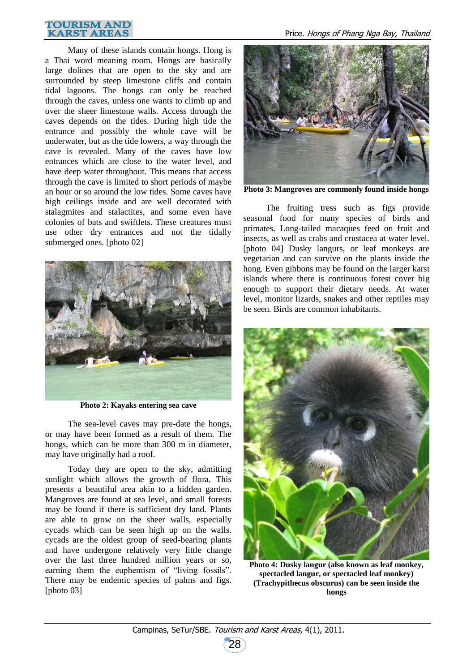#### **TOURISM AND KARST AREAS**

Many of these islands contain hongs. Hong is a Thai word meaning room. Hongs are basically large dolines that are open to the sky and are surrounded by steep limestone cliffs and contain tidal lagoons. The hongs can only be reached through the caves, unless one wants to climb up and over the sheer limestone walls. Access through the caves depends on the tides. During high tide the entrance and possibly the whole cave will be underwater, but as the tide lowers, a way through the cave is revealed. Many of the caves have low entrances which are close to the water level, and have deep water throughout. This means that access through the cave is limited to short periods of maybe an hour or so around the low tides. Some caves have high ceilings inside and are well decorated with stalagmites and stalactites, and some even have colonies of bats and swiftlets. These creatures must use other dry entrances and not the tidally submerged ones. [photo 02]



**Photo 2: Kayaks entering sea cave**

The sea-level caves may pre-date the hongs, or may have been formed as a result of them. The hongs, which can be more than 300 m in diameter, may have originally had a roof.

Today they are open to the sky, admitting sunlight which allows the growth of flora. This presents a beautiful area akin to a hidden garden. Mangroves are found at sea level, and small forests may be found if there is sufficient dry land. Plants are able to grow on the sheer walls, especially cycads which can be seen high up on the walls. cycads are the oldest group of seed-bearing plants and have undergone relatively very little change over the last three hundred million years or so, earning them the euphemism of "living fossils". There may be endemic species of palms and figs. [photo 03]



**Photo 3: Mangroves are commonly found inside hongs**

The fruiting tress such as figs provide seasonal food for many species of birds and primates. Long-tailed macaques feed on fruit and insects, as well as crabs and crustacea at water level. [photo 04] Dusky langurs, or leaf monkeys are vegetarian and can survive on the plants inside the hong. Even gibbons may be found on the larger karst islands where there is continuous forest cover big enough to support their dietary needs. At water level, monitor lizards, snakes and other reptiles may be seen. Birds are common inhabitants.



**Photo 4: Dusky langur (also known as leaf monkey, spectacled langur, or spectacled leaf monkey) (Trachypithecus obscurus) can be seen inside the hongs**

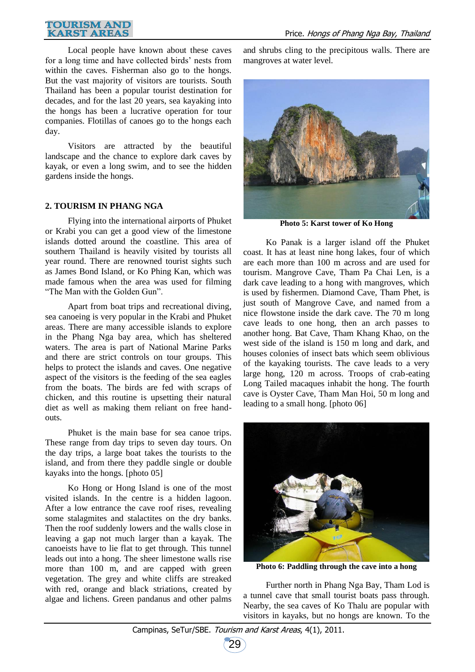### **TOURISM AND KARST AREAS**

Local people have known about these caves for a long time and have collected birds' nests from within the caves. Fisherman also go to the hongs. But the vast majority of visitors are tourists. South Thailand has been a popular tourist destination for decades, and for the last 20 years, sea kayaking into the hongs has been a lucrative operation for tour companies. Flotillas of canoes go to the hongs each day.

Visitors are attracted by the beautiful landscape and the chance to explore dark caves by kayak, or even a long swim, and to see the hidden gardens inside the hongs.

# **2. TOURISM IN PHANG NGA**

Flying into the international airports of Phuket or Krabi you can get a good view of the limestone islands dotted around the coastline. This area of southern Thailand is heavily visited by tourists all year round. There are renowned tourist sights such as James Bond Island, or Ko Phing Kan, which was made famous when the area was used for filming "The Man with the Golden Gun".

Apart from boat trips and recreational diving, sea canoeing is very popular in the Krabi and Phuket areas. There are many accessible islands to explore in the Phang Nga bay area, which has sheltered waters. The area is part of National Marine Parks and there are strict controls on tour groups. This helps to protect the islands and caves. One negative aspect of the visitors is the feeding of the sea eagles from the boats. The birds are fed with scraps of chicken, and this routine is upsetting their natural diet as well as making them reliant on free handouts.

Phuket is the main base for sea canoe trips. These range from day trips to seven day tours. On the day trips, a large boat takes the tourists to the island, and from there they paddle single or double kayaks into the hongs. [photo 05]

Ko Hong or Hong Island is one of the most visited islands. In the centre is a hidden lagoon. After a low entrance the cave roof rises, revealing some stalagmites and stalactites on the dry banks. Then the roof suddenly lowers and the walls close in leaving a gap not much larger than a kayak. The canoeists have to lie flat to get through. This tunnel leads out into a hong. The sheer limestone walls rise more than 100 m, and are capped with green vegetation. The grey and white cliffs are streaked with red, orange and black striations, created by algae and lichens. Green pandanus and other palms and shrubs cling to the precipitous walls. There are mangroves at water level.



**Photo 5: Karst tower of Ko Hong**

Ko Panak is a larger island off the Phuket coast. It has at least nine hong lakes, four of which are each more than 100 m across and are used for tourism. Mangrove Cave, Tham Pa Chai Len, is a dark cave leading to a hong with mangroves, which is used by fishermen. Diamond Cave, Tham Phet, is just south of Mangrove Cave, and named from a nice flowstone inside the dark cave. The 70 m long cave leads to one hong, then an arch passes to another hong. Bat Cave, Tham Khang Khao, on the west side of the island is 150 m long and dark, and houses colonies of insect bats which seem oblivious of the kayaking tourists. The cave leads to a very large hong, 120 m across. Troops of crab-eating Long Tailed macaques inhabit the hong. The fourth cave is Oyster Cave, Tham Man Hoi, 50 m long and leading to a small hong. [photo 06]



**Photo 6: Paddling through the cave into a hong**

Further north in Phang Nga Bay, Tham Lod is a tunnel cave that small tourist boats pass through. Nearby, the sea caves of Ko Thalu are popular with visitors in kayaks, but no hongs are known. To the

29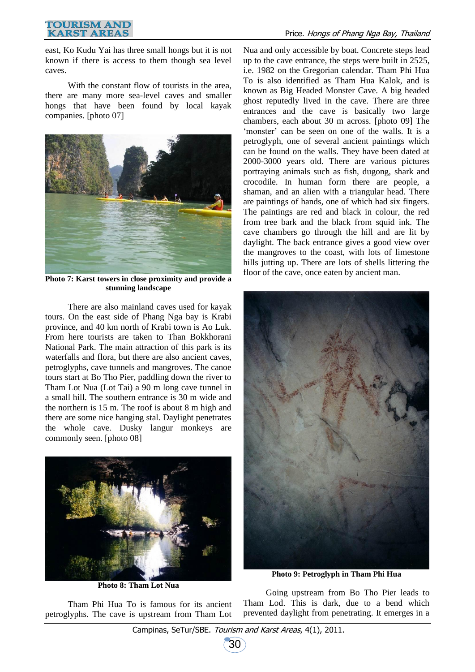### **TOURISM AND KARST AREAS**

east, Ko Kudu Yai has three small hongs but it is not known if there is access to them though sea level caves.

With the constant flow of tourists in the area, there are many more sea-level caves and smaller hongs that have been found by local kayak companies. [photo 07]



**Photo 7: Karst towers in close proximity and provide a stunning landscape**

There are also mainland caves used for kayak tours. On the east side of Phang Nga bay is Krabi province, and 40 km north of Krabi town is Ao Luk. From here tourists are taken to Than Bokkhorani National Park. The main attraction of this park is its waterfalls and flora, but there are also ancient caves, petroglyphs, cave tunnels and mangroves. The canoe tours start at Bo Tho Pier, paddling down the river to Tham Lot Nua (Lot Tai) a 90 m long cave tunnel in a small hill. The southern entrance is 30 m wide and the northern is 15 m. The roof is about 8 m high and there are some nice hanging stal. Daylight penetrates the whole cave. Dusky langur monkeys are commonly seen. [photo 08]



**Photo 8: Tham Lot Nua**

Tham Phi Hua To is famous for its ancient petroglyphs. The cave is upstream from Tham Lot Nua and only accessible by boat. Concrete steps lead up to the cave entrance, the steps were built in 2525, i.e. 1982 on the Gregorian calendar. Tham Phi Hua To is also identified as Tham Hua Kalok, and is known as Big Headed Monster Cave. A big headed ghost reputedly lived in the cave. There are three entrances and the cave is basically two large chambers, each about 30 m across. [photo 09] The 'monster' can be seen on one of the walls. It is a petroglyph, one of several ancient paintings which can be found on the walls. They have been dated at 2000-3000 years old. There are various pictures portraying animals such as fish, dugong, shark and crocodile. In human form there are people, a shaman, and an alien with a triangular head. There are paintings of hands, one of which had six fingers. The paintings are red and black in colour, the red from tree bark and the black from squid ink. The cave chambers go through the hill and are lit by daylight. The back entrance gives a good view over the mangroves to the coast, with lots of limestone hills jutting up. There are lots of shells littering the floor of the cave, once eaten by ancient man.



**Photo 9: Petroglyph in Tham Phi Hua**

Going upstream from Bo Tho Pier leads to Tham Lod. This is dark, due to a bend which prevented daylight from penetrating. It emerges in a